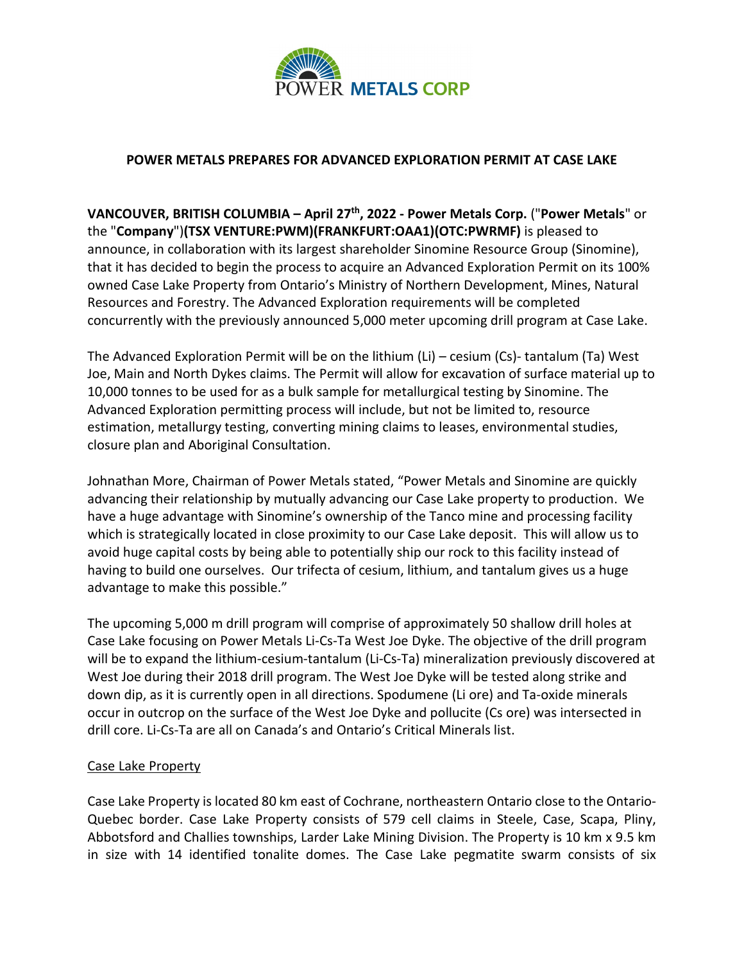

# **POWER METALS PREPARES FOR ADVANCED EXPLORATION PERMIT AT CASE LAKE**

**VANCOUVER, BRITISH COLUMBIA – April 27th, 2022 - Power Metals Corp.** ("**Power Metals**" or the "**Company**")**(TSX VENTURE:PWM)(FRANKFURT:OAA1)(OTC:PWRMF)** is pleased to announce, in collaboration with its largest shareholder Sinomine Resource Group (Sinomine), that it has decided to begin the process to acquire an Advanced Exploration Permit on its 100% owned Case Lake Property from Ontario's Ministry of Northern Development, Mines, Natural Resources and Forestry. The Advanced Exploration requirements will be completed concurrently with the previously announced 5,000 meter upcoming drill program at Case Lake.

The Advanced Exploration Permit will be on the lithium (Li) – cesium (Cs)- tantalum (Ta) West Joe, Main and North Dykes claims. The Permit will allow for excavation of surface material up to 10,000 tonnes to be used for as a bulk sample for metallurgical testing by Sinomine. The Advanced Exploration permitting process will include, but not be limited to, resource estimation, metallurgy testing, converting mining claims to leases, environmental studies, closure plan and Aboriginal Consultation.

Johnathan More, Chairman of Power Metals stated, "Power Metals and Sinomine are quickly advancing their relationship by mutually advancing our Case Lake property to production. We have a huge advantage with Sinomine's ownership of the Tanco mine and processing facility which is strategically located in close proximity to our Case Lake deposit. This will allow us to avoid huge capital costs by being able to potentially ship our rock to this facility instead of having to build one ourselves. Our trifecta of cesium, lithium, and tantalum gives us a huge advantage to make this possible."

The upcoming 5,000 m drill program will comprise of approximately 50 shallow drill holes at Case Lake focusing on Power Metals Li-Cs-Ta West Joe Dyke. The objective of the drill program will be to expand the lithium-cesium-tantalum (Li-Cs-Ta) mineralization previously discovered at West Joe during their 2018 drill program. The West Joe Dyke will be tested along strike and down dip, as it is currently open in all directions. Spodumene (Li ore) and Ta-oxide minerals occur in outcrop on the surface of the West Joe Dyke and pollucite (Cs ore) was intersected in drill core. Li-Cs-Ta are all on Canada's and Ontario's Critical Minerals list.

## Case Lake Property

Case Lake Property is located 80 km east of Cochrane, northeastern Ontario close to the Ontario-Quebec border. Case Lake Property consists of 579 cell claims in Steele, Case, Scapa, Pliny, Abbotsford and Challies townships, Larder Lake Mining Division. The Property is 10 km x 9.5 km in size with 14 identified tonalite domes. The Case Lake pegmatite swarm consists of six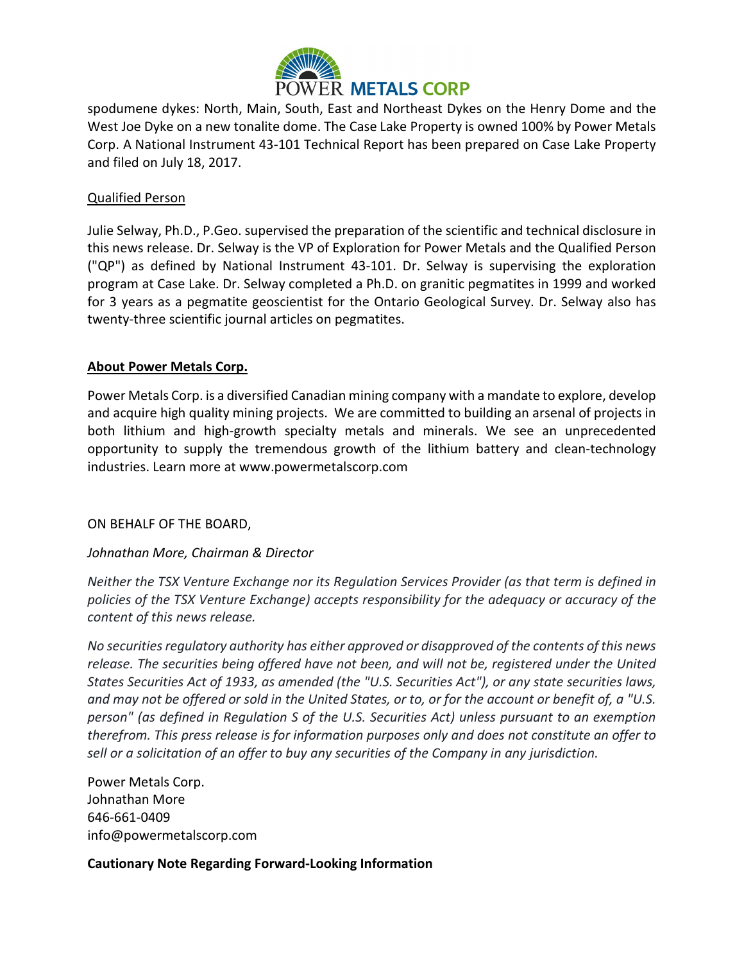

spodumene dykes: North, Main, South, East and Northeast Dykes on the Henry Dome and the West Joe Dyke on a new tonalite dome. The Case Lake Property is owned 100% by Power Metals Corp. A National Instrument 43-101 Technical Report has been prepared on Case Lake Property and filed on July 18, 2017.

# Qualified Person

Julie Selway, Ph.D., P.Geo. supervised the preparation of the scientific and technical disclosure in this news release. Dr. Selway is the VP of Exploration for Power Metals and the Qualified Person ("QP") as defined by National Instrument 43-101. Dr. Selway is supervising the exploration program at Case Lake. Dr. Selway completed a Ph.D. on granitic pegmatites in 1999 and worked for 3 years as a pegmatite geoscientist for the Ontario Geological Survey. Dr. Selway also has twenty-three scientific journal articles on pegmatites.

## **About Power Metals Corp.**

Power Metals Corp. is a diversified Canadian mining company with a mandate to explore, develop and acquire high quality mining projects. We are committed to building an arsenal of projects in both lithium and high-growth specialty metals and minerals. We see an unprecedented opportunity to supply the tremendous growth of the lithium battery and clean-technology industries. Learn more at www.powermetalscorp.com

## ON BEHALF OF THE BOARD,

## *Johnathan More, Chairman & Director*

*Neither the TSX Venture Exchange nor its Regulation Services Provider (as that term is defined in policies of the TSX Venture Exchange) accepts responsibility for the adequacy or accuracy of the content of this news release.*

*No securities regulatory authority has either approved or disapproved of the contents of this news release. The securities being offered have not been, and will not be, registered under the United States Securities Act of 1933, as amended (the "U.S. Securities Act"), or any state securities laws, and may not be offered or sold in the United States, or to, or for the account or benefit of, a "U.S. person" (as defined in Regulation S of the U.S. Securities Act) unless pursuant to an exemption therefrom. This press release is for information purposes only and does not constitute an offer to sell or a solicitation of an offer to buy any securities of the Company in any jurisdiction.*

Power Metals Corp. Johnathan More 646-661-0409 info@powermetalscorp.com

**Cautionary Note Regarding Forward-Looking Information**